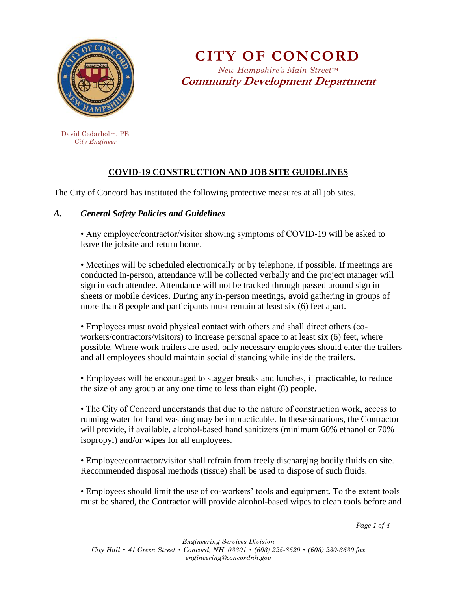

**CITY OF CONCORD** *New Hampshire's Main Street™* **Community Development Department**

 David Cedarholm, PE  *City Engineer*

# **COVID-19 CONSTRUCTION AND JOB SITE GUIDELINES**

The City of Concord has instituted the following protective measures at all job sites.

## *A. General Safety Policies and Guidelines*

• Any employee/contractor/visitor showing symptoms of COVID-19 will be asked to leave the jobsite and return home.

• Meetings will be scheduled electronically or by telephone, if possible. If meetings are conducted in-person, attendance will be collected verbally and the project manager will sign in each attendee. Attendance will not be tracked through passed around sign in sheets or mobile devices. During any in-person meetings, avoid gathering in groups of more than 8 people and participants must remain at least six (6) feet apart.

• Employees must avoid physical contact with others and shall direct others (coworkers/contractors/visitors) to increase personal space to at least six (6) feet, where possible. Where work trailers are used, only necessary employees should enter the trailers and all employees should maintain social distancing while inside the trailers.

• Employees will be encouraged to stagger breaks and lunches, if practicable, to reduce the size of any group at any one time to less than eight (8) people.

• The City of Concord understands that due to the nature of construction work, access to running water for hand washing may be impracticable. In these situations, the Contractor will provide, if available, alcohol-based hand sanitizers (minimum 60% ethanol or 70% isopropyl) and/or wipes for all employees.

• Employee/contractor/visitor shall refrain from freely discharging bodily fluids on site. Recommended disposal methods (tissue) shall be used to dispose of such fluids.

• Employees should limit the use of co-workers' tools and equipment. To the extent tools must be shared, the Contractor will provide alcohol-based wipes to clean tools before and

*Page 1 of 4*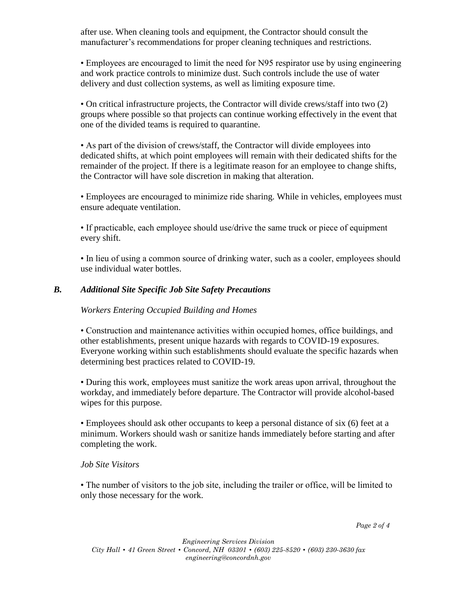after use. When cleaning tools and equipment, the Contractor should consult the manufacturer's recommendations for proper cleaning techniques and restrictions.

• Employees are encouraged to limit the need for N95 respirator use by using engineering and work practice controls to minimize dust. Such controls include the use of water delivery and dust collection systems, as well as limiting exposure time.

• On critical infrastructure projects, the Contractor will divide crews/staff into two (2) groups where possible so that projects can continue working effectively in the event that one of the divided teams is required to quarantine.

• As part of the division of crews/staff, the Contractor will divide employees into dedicated shifts, at which point employees will remain with their dedicated shifts for the remainder of the project. If there is a legitimate reason for an employee to change shifts, the Contractor will have sole discretion in making that alteration.

• Employees are encouraged to minimize ride sharing. While in vehicles, employees must ensure adequate ventilation.

• If practicable, each employee should use/drive the same truck or piece of equipment every shift.

• In lieu of using a common source of drinking water, such as a cooler, employees should use individual water bottles.

#### *B. Additional Site Specific Job Site Safety Precautions*

*Workers Entering Occupied Building and Homes* 

• Construction and maintenance activities within occupied homes, office buildings, and other establishments, present unique hazards with regards to COVID-19 exposures. Everyone working within such establishments should evaluate the specific hazards when determining best practices related to COVID-19.

• During this work, employees must sanitize the work areas upon arrival, throughout the workday, and immediately before departure. The Contractor will provide alcohol-based wipes for this purpose.

• Employees should ask other occupants to keep a personal distance of six (6) feet at a minimum. Workers should wash or sanitize hands immediately before starting and after completing the work.

#### *Job Site Visitors*

• The number of visitors to the job site, including the trailer or office, will be limited to only those necessary for the work.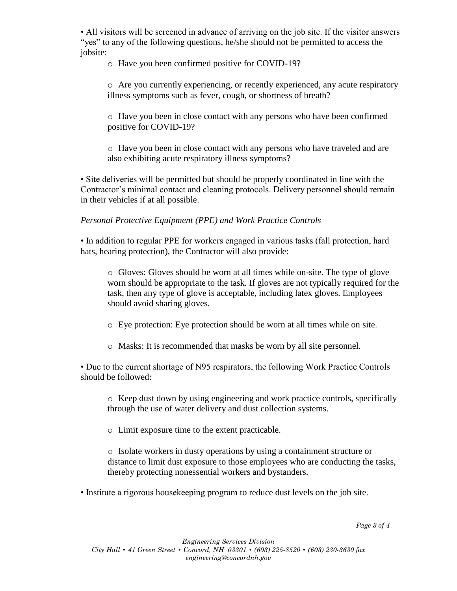• All visitors will be screened in advance of arriving on the job site. If the visitor answers "yes" to any of the following questions, he/she should not be permitted to access the jobsite:

o Have you been confirmed positive for COVID-19?

o Are you currently experiencing, or recently experienced, any acute respiratory illness symptoms such as fever, cough, or shortness of breath?

o Have you been in close contact with any persons who have been confirmed positive for COVID-19?

o Have you been in close contact with any persons who have traveled and are also exhibiting acute respiratory illness symptoms?

• Site deliveries will be permitted but should be properly coordinated in line with the Contractor's minimal contact and cleaning protocols. Delivery personnel should remain in their vehicles if at all possible.

### *Personal Protective Equipment (PPE) and Work Practice Controls*

• In addition to regular PPE for workers engaged in various tasks (fall protection, hard hats, hearing protection), the Contractor will also provide:

o Gloves: Gloves should be worn at all times while on-site. The type of glove worn should be appropriate to the task. If gloves are not typically required for the task, then any type of glove is acceptable, including latex gloves. Employees should avoid sharing gloves.

- o Eye protection: Eye protection should be worn at all times while on site.
- o Masks: It is recommended that masks be worn by all site personnel.

• Due to the current shortage of N95 respirators, the following Work Practice Controls should be followed:

o Keep dust down by using engineering and work practice controls, specifically through the use of water delivery and dust collection systems.

o Limit exposure time to the extent practicable.

o Isolate workers in dusty operations by using a containment structure or distance to limit dust exposure to those employees who are conducting the tasks, thereby protecting nonessential workers and bystanders.

• Institute a rigorous housekeeping program to reduce dust levels on the job site.